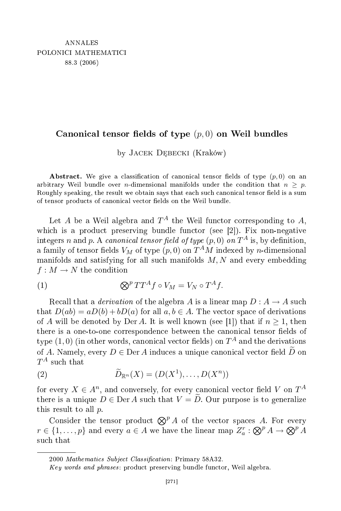## Canonical tensor fields of type  $(p, 0)$  on Weil bundles

by JACEK DĘBECKI (Kraków)

Abstract. We give a classification of canonical tensor fields of type  $(p, 0)$  on an arbitrary Weil bundle over *n*-dimensional manifolds under the condition that  $n > p$ . Roughly speaking, the result we obtain says that each such canonical tensor field is a sum of tensor products of canonical vector fields on the Weil bundle.

Let  $A$  be a Weil algebra and  $T^A$  the Weil functor corresponding to  $A,$ which is a product preserving bundle functor (see [2]). Fix non-negative integers n and p. A *canonical tensor field of type*  $(p, 0)$  *on*  $T^A$  is, by definition, a family of tensor fields  $V_M$  of type  $(p,0)$  on  $T^AM$  indexed by  $n\hbox{-dimensional}$ manifolds and satisfying for all such manifolds  $M, N$  and every embedding  $f: M \to N$  the condition

(1) 
$$
\bigotimes^p TT^A f \circ V_M = V_N \circ T^A f.
$$

Recall that a *derivation* of the algebra A is a linear map  $D: A \rightarrow A$  such that  $D(ab) = aD(b) + bD(a)$  for all  $a, b \in A$ . The vector space of derivations of A will be denoted by Der A. It is well known (see [1]) that if  $n \geq 1$ , then there is a one-to-one correspondence between the canonical tensor fields of  $\tt type (1,0)$  (in other words, canonical vector fields) on  $T^A$  and the derivations of A. Namely, every  $D \in \text{Der } A$  induces a unique canonical vector field  $\widetilde{D}$  on  $T^A$  such that

(2) 
$$
\widetilde{D}_{\mathbb{R}^n}(X) = (D(X^1), \dots, D(X^n))
$$

for every  $X \in A^n$ , and conversely, for every canonical vector field  $V$  on  $T^A$ there is a unique  $D \in \text{Der } A$  such that  $V = D$ . Our purpose is to generalize this result to all p.

Consider the tensor product  $\mathbb{Q}^p A$  of the vector spaces A. For every  $r \in \{1, \ldots, p\}$  and every  $a \in A$  we have the linear map  $Z_a^r : \bigotimes^p A \to \bigotimes^p A$ su
h that

<sup>2000</sup> Mathematics Subject Classification: Primary 58A32.

Key words and phrases: product preserving bundle functor, Weil algebra.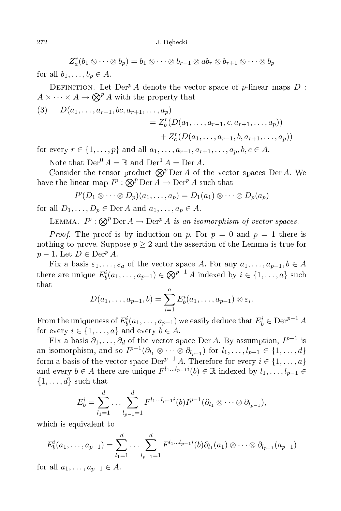$Z_a^r(b_1\otimes \cdots \otimes b_p)=b_1\otimes \cdots \otimes b_{r-1}\otimes ab_r\otimes b_{r+1}\otimes \cdots \otimes b_p$ 

for all  $b_1, \ldots, b_n \in A$ .

DEFINITION. Let  $Der^p A$  denote the vector space of p-linear maps D:  $A \times \cdots \times A \to \bigotimes^p A$  with the property that

(3) 
$$
D(a_1, ..., a_{r-1}, bc, a_{r+1}, ..., a_p)
$$
  
=  $Z_b^r(D(a_1, ..., a_{r-1}, c, a_{r+1}, ..., a_p))$   
+  $Z_c^r(D(a_1, ..., a_{r-1}, b, a_{r+1}, ..., a_p))$ 

for every  $r \in \{1, ..., p\}$  and all  $a_1, ..., a_{r-1}, a_{r+1}, ..., a_p, b, c \in A$ .

Note that  $Der^0 A = \mathbb{R}$  and  $Der^1 A = Der A$ .

Consider the tensor product  $\mathbb{Q}^p$  Der A of the vector spaces Der A. We have the linear map  $I^p$  :  $\bigotimes^p \mathrm{Der}\, A \to \mathrm{Der}^p\, A$  such that

$$
I^p(D_1\otimes\cdots\otimes D_p)(a_1,\ldots,a_p)=D_1(a_1)\otimes\cdots\otimes D_p(a_p)
$$

for all  $D_1, \ldots, D_p \in \text{Der } A$  and  $a_1, \ldots, a_p \in A$ .

LEMMA.  $I^p : \bigotimes^p \mathrm{Der} A \to \mathrm{Der}^p A$  is an isomorphism of vector spaces.

*Proof.* The proof is by induction on p. For  $p = 0$  and  $p = 1$  there is nothing to prove. Suppose  $p \geq 2$  and the assertion of the Lemma is true for  $p-1$ . Let  $D \in \text{Der}^p A$ .

Fix a basis  $\varepsilon_1, \ldots, \varepsilon_a$  of the vector space A. For any  $a_1, \ldots, a_{p-1}, b \in A$ there are unique  $E_b^i(a_1, \ldots, a_{p-1}) \in \bigotimes^{p-1} A$  indexed by  $i \in \{1, \ldots, a\}$  such that

$$
D(a_1,\ldots,a_{p-1},b)=\sum_{i=1}^a E_b^i(a_1,\ldots,a_{p-1})\otimes \varepsilon_i.
$$

From the uniqueness of  $E_b^i(a_1,\ldots,a_{p-1})$  we easily deduce that  $E_b^i \in \mathrm{Der}^{p-1}$  A for every  $i \in \{1, \ldots, a\}$  and every  $b \in A$ .

Fix a basis  $\partial_1, \ldots, \partial_d$  of the vector space Der A. By assumption,  $I^{p-1}$  is an isomorphism, and so  $I^{p-1}(\partial_{l_1}\otimes\cdots\otimes\partial_{l_{p-1}})$  for  $l_1,\ldots,l_{p-1}\in\{1,\ldots,d\}$ form a basis of the vector space  $\text{Der}^{p-1} A$ . Therefore for every  $i \in \{1, \ldots, a\}$ and every  $b \in A$  there are unique  $F^{l_1...l_{p-1}i}(b) \in \mathbb{R}$  indexed by  $l_1, \ldots, l_{p-1} \in$  $\{1, \ldots, d\}$  such that

$$
E_b^i = \sum_{l_1=1}^d \ldots \sum_{l_{p-1}=1}^d F^{l_1 \ldots l_{p-1}i}(b) I^{p-1}(\partial_{l_1} \otimes \cdots \otimes \partial_{l_{p-1}}),
$$

whi
h is equivalent to

$$
E_b^i(a_1, \ldots, a_{p-1}) = \sum_{l_1=1}^d \ldots \sum_{l_{p-1}=1}^d F^{l_1 \ldots l_{p-1}i}(b) \partial_{l_1}(a_1) \otimes \cdots \otimes \partial_{l_{p-1}}(a_{p-1})
$$

for all  $a_1, \ldots, a_{p-1} \in A$ .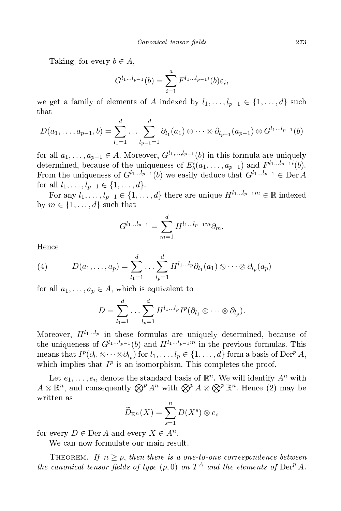Taking, for every  $b \in A$ ,

$$
G^{l_1...l_{p-1}}(b) = \sum_{i=1}^{a} F^{l_1...l_{p-1}i}(b)\varepsilon_i,
$$

we get a family of elements of A indexed by  $l_1, \ldots, l_{p-1} \in \{1, \ldots, d\}$  such that

$$
D(a_1, \ldots, a_{p-1}, b) = \sum_{l_1=1}^d \ldots \sum_{l_{p-1}=1}^d \partial_{l_1}(a_1) \otimes \cdots \otimes \partial_{l_{p-1}}(a_{p-1}) \otimes G^{l_1 \ldots l_{p-1}}(b)
$$

for all  $a_1, \ldots, a_{n-1} \in A$ . Moreover,  $G^{l_1, \ldots, l_{p-1}}(b)$  in this formula are uniquely determined, because of the uniqueness of  $E_b^i(a_1,\ldots,a_{p-1})$  and  $F^{l_1...l_{p-1}i}(b)$ . From the uniqueness of  $G^{l_1...l_{p-1}}(b)$  we easily deduce that  $G^{l_1...l_{p-1}} \in \text{Der }A$ for all  $l_1, \ldots, l_{p-1} \in \{1, \ldots, d\}.$ 

For any  $l_1, \ldots, l_{p-1} \in \{1, \ldots, d\}$  there are unique  $H^{l_1...l_{p-1}m} \in \mathbb{R}$  indexed by  $m \in \{1, \ldots, d\}$  such that

$$
G^{l_1...l_{p-1}} = \sum_{m=1}^d H^{l_1...l_{p-1}m} \partial_m.
$$

Hen
e

(4) 
$$
D(a_1,\ldots,a_p)=\sum_{l_1=1}^d\ldots\sum_{l_p=1}^d H^{l_1\ldots l_p}\partial_{l_1}(a_1)\otimes\cdots\otimes\partial_{l_p}(a_p)
$$

for all  $a_1, \ldots, a_p \in A$ , which is equivalent to

$$
D=\sum_{l_1=1}^d\ldots\sum_{l_p=1}^d H^{l_1\ldots l_p}I^p(\partial_{l_1}\otimes\cdots\otimes\partial_{l_p}).
$$

Moreover,  $H^{l_1...l_p}$  in these formulas are uniquely determined, because of the uniqueness of  $G^{l_1...l_{p-1}}(b)$  and  $H^{l_1...l_{p-1}m}$  in the previous formulas. This means that  $I^p(\partial_{l_1}\otimes\cdots\otimes\partial_{l_p})$  for  $l_1,\ldots,l_p\in\{1,\ldots,d\}$  form a basis of  $\mathrm{Der}^p A$ , which implies that  $I^p$  is an isomorphism. This completes the proof.

Let  $e_1, \ldots, e_n$  denote the standard basis of  $\mathbb{R}^n$ . We will identify  $A^n$  with  $A\otimes\mathbb{R}^n$ , and consequently  $\bigotimes^p A^n$  with  $\bigotimes^p A\otimes\bigotimes^p \mathbb{R}^n$ . Hence  $(2)$  may be written as

$$
\widetilde{D}_{\mathbb{R}^n}(X) = \sum_{s=1}^n D(X^s) \otimes e_s
$$

for every  $D \in \text{Der } A$  and every  $X \in A^n$ .

We can now formulate our main result.

THEOREM. If  $n \geq p$ , then there is a one-to-one correspondence between the canonical tensor fields of type  $(p, 0)$  on  $T^A$  and the elements of  $Der^p A$ .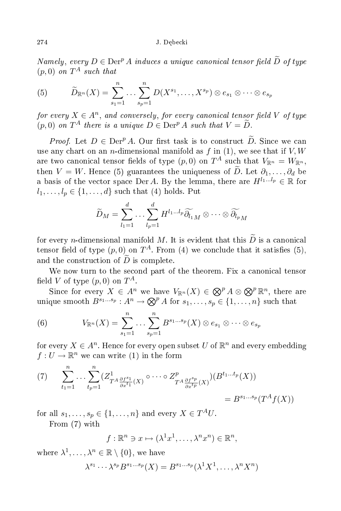Namely, every  $D \in \text{Der}^p A$  induces a unique canonical tensor field  $\widetilde{D}$  of type  $(p,0)$  on  $T^A$  such that

(5) 
$$
\widetilde{D}_{\mathbb{R}^n}(X) = \sum_{s_1=1}^n \dots \sum_{s_p=1}^n D(X^{s_1}, \dots, X^{s_p}) \otimes e_{s_1} \otimes \dots \otimes e_{s_p}
$$

for every  $X \in A^n$ , and conversely, for every canonical tensor field V of type  $(p, 0)$  on  $T^A$  there is a unique  $D \in \text{Der}^p A$  such that  $V = D$ .

*Proof.* Let  $D \in \text{Der}^p A$ . Our first task is to construct  $\widetilde{D}$ . Since we can use any chart on an *n*-dimensional manifold as  $f$  in (1), we see that if  $V, W$ are two canonical tensor fields of type  $(p,0)$  on  $T^A$  such that  $V_{\mathbb{R}^n}=W_{\mathbb{R}^n},$ then  $V = W$ . Hence (5) guarantees the uniqueness of  $\widetilde{D}$ . Let  $\partial_1, \ldots, \partial_d$  be a basis of the vector space Der A. By the lemma, there are  $H^{l_1...l_p} \in \mathbb{R}$  for  $l_1, \ldots, l_p \in \{1, \ldots, d\}$  such that (4) holds. Put

$$
\widetilde{D}_M = \sum_{l_1=1}^d \ldots \sum_{l_p=1}^d H^{l_1 \ldots l_p} \widetilde{\partial_{l_1}}_M \otimes \cdots \otimes \widetilde{\partial_{l_p}}_M
$$

for every *n*-dimensional manifold M. It is evident that this  $\widetilde{D}$  is a canonical tensor field of type  $(p,0)$  on  $T^A$ . From  $(4)$  we conclude that it satisfies  $(5)$ , and the construction of  $\widetilde{D}$  is complete.

We now turn to the second part of the theorem. Fix a canonical tensor field V of type  $(p,0)$  on  $T^A$ .

Since for every  $X \in A^n$  we have  $V_{\mathbb{R}^n}(X) \in \bigotimes^p A \otimes \bigotimes^p \mathbb{R}^n$ , there are unique smooth  $B^{s_1...s_p}: A^n \to \bigotimes^p A$  for  $s_1, \ldots, s_p \in \{1, \ldots, n\}$  such that

(6) 
$$
V_{\mathbb{R}^n}(X) = \sum_{s_1=1}^n \ldots \sum_{s_p=1}^n B^{s_1 \ldots s_p}(X) \otimes e_{s_1} \otimes \cdots \otimes e_{s_p}
$$

for every  $X \in A^n$ . Hence for every open subset U of  $\mathbb{R}^n$  and every embedding  $f: U \to \mathbb{R}^n$  we can write (1) in the form

(7) 
$$
\sum_{t_1=1}^n \dots \sum_{t_p=1}^n (Z^1_{T^A \frac{\partial f^{s_1}}{\partial x^{t_1}}(X)} \circ \dots \circ Z^p_{T^A \frac{\partial f^{s_p}}{\partial x^{t_p}}(X)}) (B^{t_1 \dots t_p}(X))
$$
  
=  $B^{s_1 \dots s_p}(T^A f(X))$ 

for all  $s_1, \ldots, s_p \in \{1, \ldots, n\}$  and every  $X \in T^A U$ . From (7) with

$$
f: \mathbb{R}^n \ni x \mapsto (\lambda^1 x^1, \dots, \lambda^n x^n) \in \mathbb{R}^n,
$$

where  $\lambda^1, \ldots, \lambda^n \in \mathbb{R} \setminus \{0\}$ , we have

$$
\lambda^{s_1} \cdots \lambda^{s_p} B^{s_1 \ldots s_p}(X) = B^{s_1 \ldots s_p} (\lambda^1 X^1, \ldots, \lambda^n X^n)
$$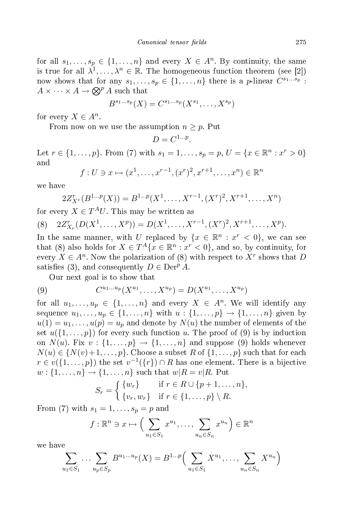for all  $s_1, \ldots, s_p \in \{1, \ldots, n\}$  and every  $X \in A^n$ . By continuity, the same is true for all  $\lambda^1, \ldots, \lambda^n \in \mathbb{R}$ . The homogeneous function theorem (see [2]) now shows that for any  $s_1, \ldots, s_p \in \{1, \ldots, n\}$  there is a *p*-linear  $C^{s_1 \ldots s_p}$ :  $A\times\cdots\times A\to\bigotimes^p A$  such that

$$
B^{s_1...s_p}(X) = C^{s_1...s_p}(X^{s_1},...,X^{s_p})
$$

for every  $X \in A^n$ .

From now on we use the assumption  $n \geq p$ . Put

$$
D=C^{1...p}.
$$

Let  $r \in \{1, ..., p\}$ . From (7) with  $s_1 = 1, ..., s_p = p$ ,  $U = \{x \in \mathbb{R}^n : x^r > 0\}$ and

$$
f: U \ni x \mapsto (x^1, \dots, x^{r-1}, (x^r)^2, x^{r+1}, \dots, x^n) \in \mathbb{R}^n
$$

we have

$$
2Z_{X^r}^r(B^{1...p}(X)) = B^{1...p}(X^1, \dots, X^{r-1}, (X^r)^2, X^{r+1}, \dots, X^n)
$$

for every  $X \in T^A U$ . This may be written as

(8) 
$$
2Z_{X_r}^r(D(X^1,\ldots,X^p))=D(X^1,\ldots,X^{r-1},(X^r)^2,X^{r+1},\ldots,X^p).
$$

In the same manner, with U replaced by  $\{x \in \mathbb{R}^n : x^r < 0\}$ , we can see that (8) also holds for  $X \in T^A\{x \in \mathbb{R}^n : x^r < 0\}$ , and so, by continuity, for every  $X \in A^n$ . Now the polarization of (8) with respect to  $X^r$  shows that D satisfies (3), and consequently  $D \in \text{Der}^p A$ .

Our next goal is to show that

(9) 
$$
C^{u_1...u_p}(X^{u_1},...,X^{u_p}) = D(X^{u_1},...,X^{u_p})
$$

for all  $u_1, \ldots, u_p \in \{1, \ldots, n\}$  and every  $X \in A^n$ . We will identify any sequence  $u_1, ..., u_p \in \{1, ..., n\}$  with  $u : \{1, ..., p\} \to \{1, ..., n\}$  given by  $u(1) = u_1, \ldots, u(p) = u_p$  and denote by  $N(u)$  the number of elements of the set  $u(\{1,\ldots,p\})$  for every such function u. The proof of (9) is by induction on  $N(u)$ . Fix  $v: \{1, \ldots, p\} \rightarrow \{1, \ldots, n\}$  and suppose (9) holds whenever  $N(u) \in \{N(v)+1,\ldots,p\}$ . Choose a subset R of  $\{1,\ldots,p\}$  such that for each  $r \in v(\{1,\ldots,p\})$  the set  $v^{-1}(\{r\}) \cap R$  has one element. There is a bijective  $w: \{1, \ldots, n\} \to \{1, \ldots, n\}$  such that  $w|R = v|R$ . Put

$$
S_r = \begin{cases} \{w_r\} & \text{if } r \in R \cup \{p+1,\dots,n\}, \\ \{v_r, w_r\} & \text{if } r \in \{1,\dots,p\} \setminus R. \end{cases}
$$

From (7) with  $s_1 = 1, \ldots, s_p = p$  and

$$
f: \mathbb{R}^n \ni x \mapsto \left(\sum_{u_1 \in S_1} x^{u_1}, \dots, \sum_{u_n \in S_n} x^{u_n}\right) \in \mathbb{R}^n
$$

we have

$$
\sum_{u_1 \in S_1} \dots \sum_{u_p \in S_p} B^{u_1 \dots u_p}(X) = B^{1 \dots p} \Big( \sum_{u_1 \in S_1} X^{u_1}, \dots, \sum_{u_n \in S_n} X^{u_n} \Big)
$$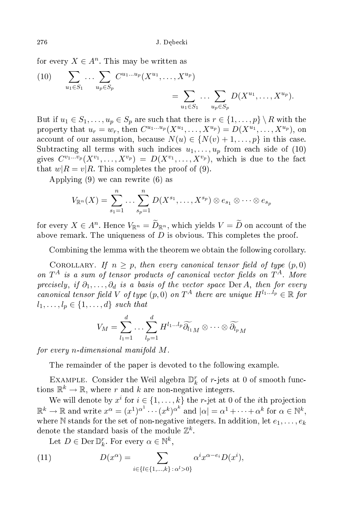for every  $X \in A^n$ . This may be written as

(10) 
$$
\sum_{u_1 \in S_1} \cdots \sum_{u_p \in S_p} C^{u_1 \ldots u_p} (X^{u_1}, \ldots, X^{u_p}) = \sum_{u_1 \in S_1} \cdots \sum_{u_p \in S_p} D(X^{u_1}, \ldots, X^{u_p}).
$$

But if  $u_1 \in S_1, \ldots, u_p \in S_p$  are such that there is  $r \in \{1, \ldots, p\} \setminus R$  with the property that  $u_r = w_r$ , then  $C^{u_1...u_p}(X^{u_1},...,X^{u_p}) = D(X^{u_1},...,X^{u_p}),$  on account of our assumption, because  $N(u) \in \{N(v) + 1, \ldots, p\}$  in this case. Subtracting all terms with such indices  $u_1, \ldots, u_p$  from each side of (10) gives  $C^{v_1...v_p}(X^{v_1},\ldots,X^{v_p}) = D(X^{v_1},\ldots,X^{v_p}),$  which is due to the fact that  $w|R = v|R$ . This completes the proof of (9).

Applying (9) we an rewrite (6) as

$$
V_{\mathbb{R}^n}(X) = \sum_{s_1=1}^n \ldots \sum_{s_p=1}^n D(X^{s_1}, \ldots, X^{s_p}) \otimes e_{s_1} \otimes \cdots \otimes e_{s_p}
$$

for every  $X \in A^n$ . Hence  $V_{\mathbb{R}^n} = \tilde{D}_{\mathbb{R}^n}$ , which yields  $V = \tilde{D}$  on account of the above remark. The uniqueness of D is obvious. This completes the proof.

Combining the lemma with the theorem we obtain the following corollary.

COROLLARY. If  $n \geq p$ , then every canonical tensor field of type  $(p, 0)$ on  $T^A$  is a sum of tensor products of canonical vector fields on  $T^A$ . More precisely, if  $\partial_1, \ldots, \partial_d$  is a basis of the vector space Der A, then for every canonical tensor field V of type  $(p, 0)$  on  $T^A$  there are unique  $H^{l_1...l_p} \in \mathbb{R}$  for  $l_1, \ldots, l_p \in \{1, \ldots, d\}$  such that

$$
V_M = \sum_{l_1=1}^d \ldots \sum_{l_p=1}^d H^{l_1 \ldots l_p} \widetilde{\partial_{l_1}}_M \otimes \cdots \otimes \widetilde{\partial_{l_p}}_M
$$

for every n-dimensional manifold M .

The remainder of the paper is devoted to the following example.

EXAMPLE. Consider the Weil algebra  $\mathbb{D}_k^r$  of r-jets at 0 of smooth functions  $\mathbb{R}^k \to \mathbb{R}$ , where r and k are non-negative integers.

We will denote by  $x^i$  for  $i \in \{1, \ldots, k\}$  the  $r\text{-jet}$  at 0 of the  $i\text{th}$  projection  $\mathbb{R}^k \to \mathbb{R}$  and write  $x^{\alpha} = (x^1)^{\alpha^1} \cdots (x^k)^{\alpha^k}$  and  $|\alpha| = \alpha^1 + \cdots + \alpha^k$  for  $\alpha \in \mathbb{N}^k$ , where  $\mathbb N$  stands for the set of non-negative integers. In addition, let  $e_1, \ldots, e_k$ denote the standard basis of the module  $\mathbb{Z}^k$ .

Let  $D \in \text{Der} \mathbb{D}_k^r$ . For every  $\alpha \in \mathbb{N}^k$ ,

(11) 
$$
D(x^{\alpha}) = \sum_{i \in \{l \in \{1, ..., k\} \colon \alpha^{l} > 0\}} \alpha^{i} x^{\alpha - e_i} D(x^{i}),
$$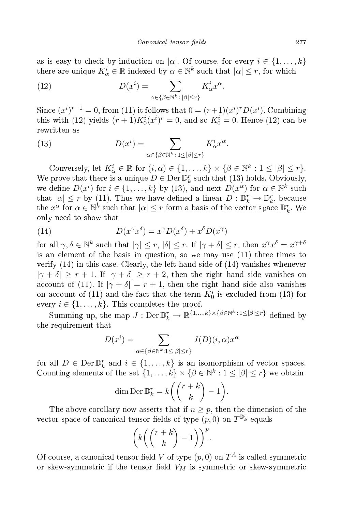as is easy to check by induction on  $|\alpha|$ . Of course, for every  $i \in \{1, ..., k\}$ there are unique  $K^i_\alpha \in \mathbb{R}$  indexed by  $\alpha \in \mathbb{N}^k$  such that  $|\alpha| \leq r$ , for which

(12) 
$$
D(x^{i}) = \sum_{\alpha \in \{\beta \in \mathbb{N}^{k} : |\beta| \leq r\}} K_{\alpha}^{i} x^{\alpha}.
$$

Since  $(x^{i})^{r+1} = 0$ , from (11) it follows that  $0 = (r+1)(x^{i})^{r}D(x^{i})$ . Combining this with (12) yields  $(r+1)K_0^i(x^i)^r=0$ , and so  $K_0^i=0$ . Hence (12) can be rewritten as

(13) 
$$
D(x^{i}) = \sum_{\alpha \in \{\beta \in \mathbb{N}^{k} : 1 \leq |\beta| \leq r\}} K_{\alpha}^{i} x^{\alpha}.
$$

Conversely, let  $K^i_\alpha \in \mathbb{R}$  for  $(i, \alpha) \in \{1, ..., k\} \times \{\beta \in \mathbb{N}^k : 1 \leq |\beta| \leq r\}.$ We prove that there is a unique  $D \in \text{Der} \mathbb{D}_k^r$  such that (13) holds. Obviously, we define  $D(x^i)$  for  $i \in \{1, ..., k\}$  by  $(13)$ , and next  $D(x^{\alpha})$  for  $\alpha \in \mathbb{N}^k$  such that  $|\alpha| \leq r$  by (11). Thus we have defined a linear  $D: \mathbb{D}_k^r \to \mathbb{D}_k^r$ , because the  $x^{\alpha}$  for  $\alpha \in \mathbb{N}^k$  such that  $|\alpha| \leq r$  form a basis of the vector space  $\mathbb{D}_k^r$ . We only need to show that

(14) 
$$
D(x^{\gamma}x^{\delta}) = x^{\gamma}D(x^{\delta}) + x^{\delta}D(x^{\gamma})
$$

for all  $\gamma, \delta \in \mathbb{N}^k$  such that  $|\gamma| \leq r$ ,  $|\delta| \leq r$ . If  $|\gamma + \delta| \leq r$ , then  $x^{\gamma}x^{\delta} = x^{\gamma + \delta}$ is an element of the basis in question, so we may use (11) three times to verify (14) in this ase. Clearly, the left hand side of (14) vanishes whenever  $|\gamma + \delta| \ge r + 1$ . If  $|\gamma + \delta| \ge r + 2$ , then the right hand side vanishes on account of (11). If  $|\gamma + \delta| = r + 1$ , then the right hand side also vanishes on account of (11) and the fact that the term  $K_0^i$  is excluded from (13) for every  $i \in \{1, \ldots, k\}$ . This completes the proof.

Summing up, the map  $J: \text{Der} \mathbb{D}_k^r \to \mathbb{R}^{\{1,\dots,k\} \times \{\beta \in \mathbb{N}^k : 1 \leq |\beta| \leq r\}}$  defined by the requirement that

$$
D(x^i) = \sum_{\alpha \in \{\beta \in \mathbb{N}^k : 1 \leq |\beta| \leq r\}} J(D)(i, \alpha) x^{\alpha}
$$

for all  $D \in \text{Der} \mathbb{D}_k^r$  and  $i \in \{1, ..., k\}$  is an isomorphism of vector spaces. Counting elements of the set  $\{1,\ldots,k\} \times \{\beta \in \mathbb{N}^k : 1 \leq |\beta| \leq r\}$  we obtain

$$
\dim \operatorname{Der} \mathbb{D}_{k}^{r} = k \left( \binom{r+k}{k} - 1 \right).
$$

The above corollary now asserts that if  $n \geq p$ , then the dimension of the vector space of canonical tensor fields of type  $(p, 0)$  on  $T^{\mathbb{D}_k^r}$  equals

$$
\left(k\left(\binom{r+k}{k}-1\right)\right)^p.
$$

Of course, a canonical tensor field V of type  $(p,0)$  on  $T^A$  is called symmetric or skew-symmetric if the tensor field  $V_M$  is symmetric or skew-symmetric